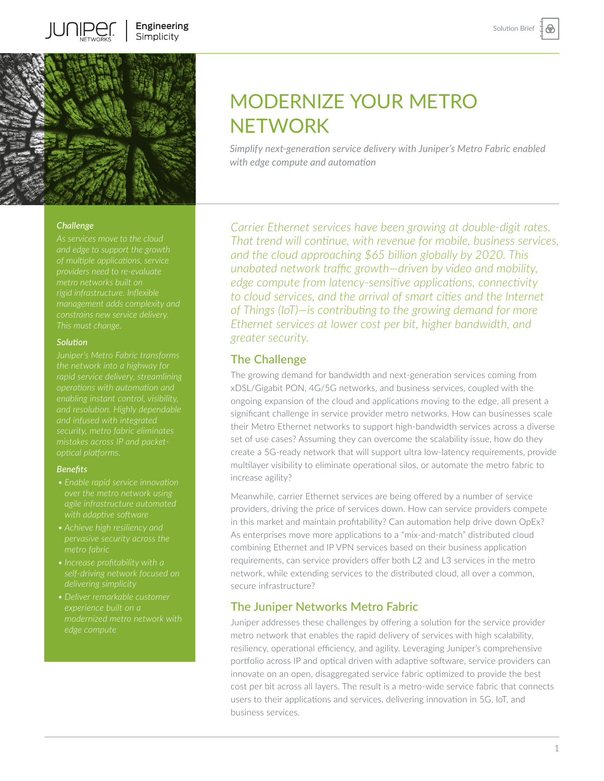⊛



### *Challenge*

#### *Solution*

*operations with automation and mistakes across IP and packetoptical platforms.* 

#### *Benefits*

- 
- *pervasive security across the*
- 
- 

# MODERNIZE YOUR METRO NETWORK

*Simplify next-generation service delivery with Juniper's Metro Fabric enabled with edge compute and automation*

*Carrier Ethernet services have been growing at double-digit rates. That trend will continue, with revenue for mobile, business services, and the cloud approaching \$65 billion globally by 2020. This unabated network traffic growth—driven by video and mobility, edge compute from latency-sensitive applications, connectivity to cloud services, and the arrival of smart cities and the Internet of Things (IoT)—is contributing to the growing demand for more Ethernet services at lower cost per bit, higher bandwidth, and greater security.* 

# The Challenge

The growing demand for bandwidth and next-generation services coming from xDSL/Gigabit PON, 4G/5G networks, and business services, coupled with the ongoing expansion of the cloud and applications moving to the edge, all present a significant challenge in service provider metro networks. How can businesses scale their Metro Ethernet networks to support high-bandwidth services across a diverse set of use cases? Assuming they can overcome the scalability issue, how do they create a 5G-ready network that will support ultra low-latency requirements, provide multilayer visibility to eliminate operational silos, or automate the metro fabric to increase agility?

Meanwhile, carrier Ethernet services are being offered by a number of service providers, driving the price of services down. How can service providers compete in this market and maintain profitability? Can automation help drive down OpEx? As enterprises move more applications to a "mix-and-match" distributed cloud combining Ethernet and IP VPN services based on their business application requirements, can service providers offer both L2 and L3 services in the metro network, while extending services to the distributed cloud, all over a common, secure infrastructure?

# The Juniper Networks Metro Fabric

Juniper addresses these challenges by offering a solution for the service provider metro network that enables the rapid delivery of services with high scalability, resiliency, operational efficiency, and agility. Leveraging Juniper's comprehensive portfolio across IP and optical driven with adaptive software, service providers can innovate on an open, disaggregated service fabric optimized to provide the best cost per bit across all layers. The result is a metro-wide service fabric that connects users to their applications and services, delivering innovation in 5G, IoT, and business services.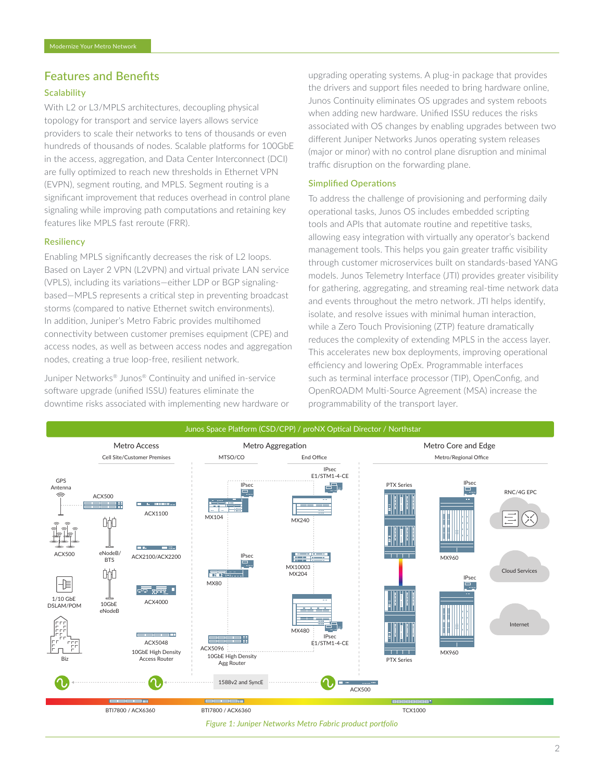## Features and Benefits

### **Scalability**

With L2 or L3/MPLS architectures, decoupling physical topology for transport and service layers allows service providers to scale their networks to tens of thousands or even hundreds of thousands of nodes. Scalable platforms for 100GbE in the access, aggregation, and Data Center Interconnect (DCI) are fully optimized to reach new thresholds in Ethernet VPN (EVPN), segment routing, and MPLS. Segment routing is a significant improvement that reduces overhead in control plane signaling while improving path computations and retaining key features like MPLS fast reroute (FRR).

#### **Resiliency**

Enabling MPLS significantly decreases the risk of L2 loops. Based on Layer 2 VPN (L2VPN) and virtual private LAN service (VPLS), including its variations—either LDP or BGP signalingbased—MPLS represents a critical step in preventing broadcast storms (compared to native Ethernet switch environments). In addition, Juniper's Metro Fabric provides multihomed connectivity between customer premises equipment (CPE) and access nodes, as well as between access nodes and aggregation nodes, creating a true loop-free, resilient network.

Juniper Networks® Junos® Continuity and unified in-service software upgrade (unified ISSU) features eliminate the downtime risks associated with implementing new hardware or upgrading operating systems. A plug-in package that provides the drivers and support files needed to bring hardware online, Junos Continuity eliminates OS upgrades and system reboots when adding new hardware. Unified ISSU reduces the risks associated with OS changes by enabling upgrades between two different Juniper Networks Junos operating system releases (major or minor) with no control plane disruption and minimal traffic disruption on the forwarding plane.

#### Simplified Operations

To address the challenge of provisioning and performing daily operational tasks, Junos OS includes embedded scripting tools and APIs that automate routine and repetitive tasks, allowing easy integration with virtually any operator's backend management tools. This helps you gain greater traffic visibility through customer microservices built on standards-based YANG models. Junos Telemetry Interface (JTI) provides greater visibility for gathering, aggregating, and streaming real-time network data and events throughout the metro network. JTI helps identify, isolate, and resolve issues with minimal human interaction, while a Zero Touch Provisioning (ZTP) feature dramatically reduces the complexity of extending MPLS in the access layer. This accelerates new box deployments, improving operational efficiency and lowering OpEx. Programmable interfaces such as terminal interface processor (TIP), OpenConfig, and OpenROADM Multi-Source Agreement (MSA) increase the programmability of the transport layer.



*Figure 1: Juniper Networks Metro Fabric product portfolio*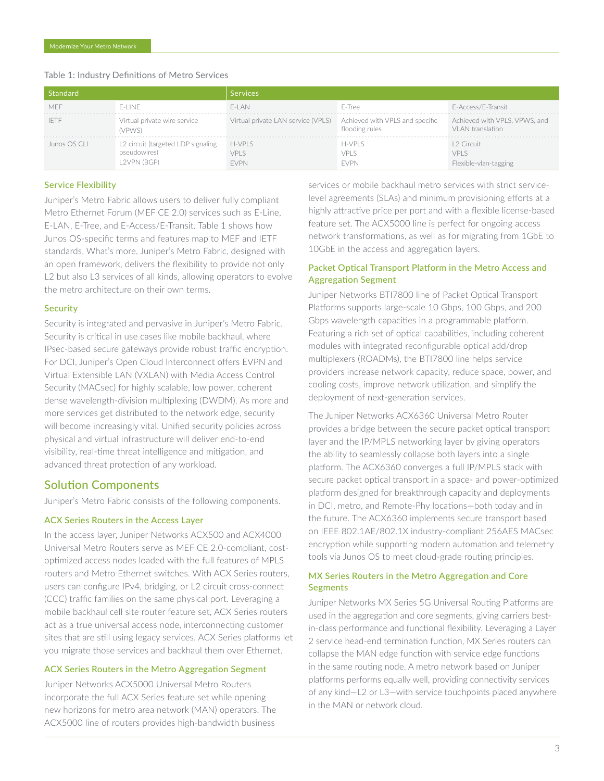| Standard     |                                                                  | <b>Services</b>                                                    |                           |                                                    |
|--------------|------------------------------------------------------------------|--------------------------------------------------------------------|---------------------------|----------------------------------------------------|
| MFF          | F-LINE                                                           | $F-I AN$                                                           | F-Tree                    | E-Access/E-Transit                                 |
| - IETF       | Virtual private wire service<br>(VPWS)                           | Virtual private LAN service (VPLS) Achieved with VPLS and specific | flooding rules            | Achieved with VPLS, VPWS, and<br>VI AN translation |
| Junos OS CLI | L2 circuit (targeted LDP signaling<br>pseudowires)<br>2VPN (BGP) | H-VPLS<br>VPI S<br><b>FVPN</b>                                     | h-VPI S<br>vpi s<br>:\/PN | 2 Circuit<br>vpi s<br>Hexible-vlan-tagging         |

#### Table 1: Industry Definitions of Metro Services

#### Service Flexibility

Juniper's Metro Fabric allows users to deliver fully compliant Metro Ethernet Forum (MEF CE 2.0) services such as E-Line, E-LAN, E-Tree, and E-Access/E-Transit. Table 1 shows how Junos OS-specific terms and features map to MEF and IETF standards. What's more, Juniper's Metro Fabric, designed with an open framework, delivers the flexibility to provide not only L2 but also L3 services of all kinds, allowing operators to evolve the metro architecture on their own terms.

#### **Security**

Security is integrated and pervasive in Juniper's Metro Fabric. Security is critical in use cases like mobile backhaul, where IPsec-based secure gateways provide robust traffic encryption. For DCI, Juniper's Open Cloud Interconnect offers EVPN and Virtual Extensible LAN (VXLAN) with Media Access Control Security (MACsec) for highly scalable, low power, coherent dense wavelength-division multiplexing (DWDM). As more and more services get distributed to the network edge, security will become increasingly vital. Unified security policies across physical and virtual infrastructure will deliver end-to-end visibility, real-time threat intelligence and mitigation, and advanced threat protection of any workload.

#### Solution Components

Juniper's Metro Fabric consists of the following components.

#### ACX Series Routers in the Access Layer

In the access layer, Juniper Networks ACX500 and ACX4000 Universal Metro Routers serve as MEF CE 2.0-compliant, costoptimized access nodes loaded with the full features of MPLS routers and Metro Ethernet switches. With ACX Series routers, users can configure IPv4, bridging, or L2 circuit cross-connect (CCC) traffic families on the same physical port. Leveraging a mobile backhaul cell site router feature set, ACX Series routers act as a true universal access node, interconnecting customer sites that are still using legacy services. ACX Series platforms let you migrate those services and backhaul them over Ethernet.

#### ACX Series Routers in the Metro Aggregation Segment

Juniper Networks ACX5000 Universal Metro Routers incorporate the full ACX Series feature set while opening new horizons for metro area network (MAN) operators. The ACX5000 line of routers provides high-bandwidth business

services or mobile backhaul metro services with strict servicelevel agreements (SLAs) and minimum provisioning efforts at a highly attractive price per port and with a flexible license-based feature set. The ACX5000 line is perfect for ongoing access network transformations, as well as for migrating from 1GbE to 10GbE in the access and aggregation layers.

## Packet Optical Transport Platform in the Metro Access and Aggregation Segment

Juniper Networks BTI7800 line of Packet Optical Transport Platforms supports large-scale 10 Gbps, 100 Gbps, and 200 Gbps wavelength capacities in a programmable platform. Featuring a rich set of optical capabilities, including coherent modules with integrated reconfigurable optical add/drop multiplexers (ROADMs), the BTI7800 line helps service providers increase network capacity, reduce space, power, and cooling costs, improve network utilization, and simplify the deployment of next-generation services.

The Juniper Networks ACX6360 Universal Metro Router provides a bridge between the secure packet optical transport layer and the IP/MPLS networking layer by giving operators the ability to seamlessly collapse both layers into a single platform. The ACX6360 converges a full IP/MPLS stack with secure packet optical transport in a space- and power-optimized platform designed for breakthrough capacity and deployments in DCI, metro, and Remote-Phy locations—both today and in the future. The ACX6360 implements secure transport based on IEEE 802.1AE/802.1X industry-compliant 256AES MACsec encryption while supporting modern automation and telemetry tools via Junos OS to meet cloud-grade routing principles.

## MX Series Routers in the Metro Aggregation and Core Segments

Juniper Networks MX Series 5G Universal Routing Platforms are used in the aggregation and core segments, giving carriers bestin-class performance and functional flexibility. Leveraging a Layer 2 service head-end termination function, MX Series routers can collapse the MAN edge function with service edge functions in the same routing node. A metro network based on Juniper platforms performs equally well, providing connectivity services of any kind—L2 or L3—with service touchpoints placed anywhere in the MAN or network cloud.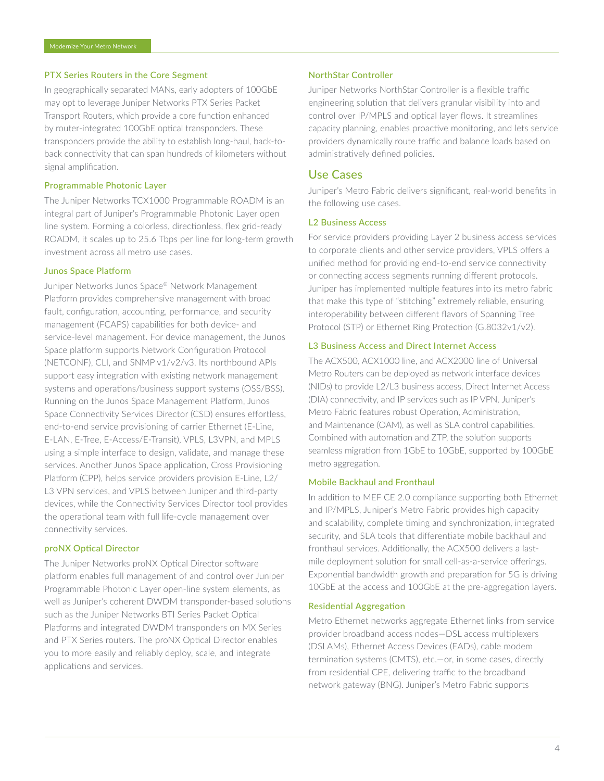#### PTX Series Routers in the Core Segment

In geographically separated MANs, early adopters of 100GbE may opt to leverage Juniper Networks PTX Series Packet Transport Routers, which provide a core function enhanced by router-integrated 100GbE optical transponders. These transponders provide the ability to establish long-haul, back-toback connectivity that can span hundreds of kilometers without signal amplification.

#### Programmable Photonic Layer

The Juniper Networks TCX1000 Programmable ROADM is an integral part of Juniper's Programmable Photonic Layer open line system. Forming a colorless, directionless, flex grid-ready ROADM, it scales up to 25.6 Tbps per line for long-term growth investment across all metro use cases.

#### Junos Space Platform

Juniper Networks Junos Space® Network Management Platform provides comprehensive management with broad fault, configuration, accounting, performance, and security management (FCAPS) capabilities for both device- and service-level management. For device management, the Junos Space platform supports Network Configuration Protocol (NETCONF), CLI, and SNMP v1/v2/v3. Its northbound APIs support easy integration with existing network management systems and operations/business support systems (OSS/BSS). Running on the Junos Space Management Platform, Junos Space Connectivity Services Director (CSD) ensures effortless, end-to-end service provisioning of carrier Ethernet (E-Line, E-LAN, E-Tree, E-Access/E-Transit), VPLS, L3VPN, and MPLS using a simple interface to design, validate, and manage these services. Another Junos Space application, Cross Provisioning Platform (CPP), helps service providers provision E-Line, L2/ L3 VPN services, and VPLS between Juniper and third-party devices, while the Connectivity Services Director tool provides the operational team with full life-cycle management over connectivity services.

#### proNX Optical Director

The Juniper Networks proNX Optical Director software platform enables full management of and control over Juniper Programmable Photonic Layer open-line system elements, as well as Juniper's coherent DWDM transponder-based solutions such as the Juniper Networks BTI Series Packet Optical Platforms and integrated DWDM transponders on MX Series and PTX Series routers. The proNX Optical Director enables you to more easily and reliably deploy, scale, and integrate applications and services.

#### NorthStar Controller

Juniper Networks NorthStar Controller is a flexible traffic engineering solution that delivers granular visibility into and control over IP/MPLS and optical layer flows. It streamlines capacity planning, enables proactive monitoring, and lets service providers dynamically route traffic and balance loads based on administratively defined policies.

## Use Cases

Juniper's Metro Fabric delivers significant, real-world benefits in the following use cases.

#### L2 Business Access

For service providers providing Layer 2 business access services to corporate clients and other service providers, VPLS offers a unified method for providing end-to-end service connectivity or connecting access segments running different protocols. Juniper has implemented multiple features into its metro fabric that make this type of "stitching" extremely reliable, ensuring interoperability between different flavors of Spanning Tree Protocol (STP) or Ethernet Ring Protection (G.8032v1/v2).

#### L3 Business Access and Direct Internet Access

The ACX500, ACX1000 line, and ACX2000 line of Universal Metro Routers can be deployed as network interface devices (NIDs) to provide L2/L3 business access, Direct Internet Access (DIA) connectivity, and IP services such as IP VPN. Juniper's Metro Fabric features robust Operation, Administration, and Maintenance (OAM), as well as SLA control capabilities. Combined with automation and ZTP, the solution supports seamless migration from 1GbE to 10GbE, supported by 100GbE metro aggregation.

#### Mobile Backhaul and Fronthaul

In addition to MEF CE 2.0 compliance supporting both Ethernet and IP/MPLS, Juniper's Metro Fabric provides high capacity and scalability, complete timing and synchronization, integrated security, and SLA tools that differentiate mobile backhaul and fronthaul services. Additionally, the ACX500 delivers a lastmile deployment solution for small cell-as-a-service offerings. Exponential bandwidth growth and preparation for 5G is driving 10GbE at the access and 100GbE at the pre-aggregation layers.

#### Residential Aggregation

Metro Ethernet networks aggregate Ethernet links from service provider broadband access nodes—DSL access multiplexers (DSLAMs), Ethernet Access Devices (EADs), cable modem termination systems (CMTS), etc.—or, in some cases, directly from residential CPE, delivering traffic to the broadband network gateway (BNG). Juniper's Metro Fabric supports